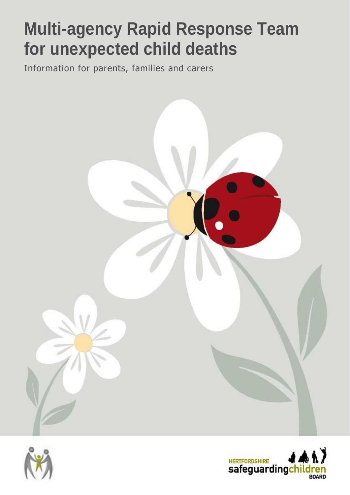# **Multi-agency Rapid Response Team for unexpected child deaths**

Information for parents, families and carers





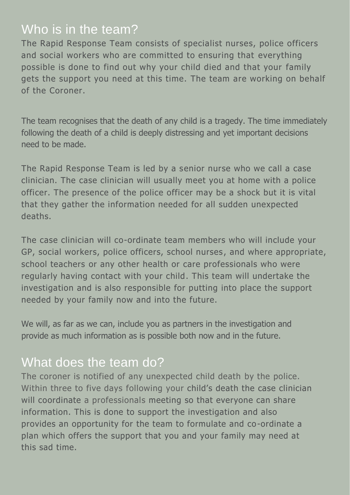### Who is in the team?

The Rapid Response Team consists of specialist nurses, police officers and social workers who are committed to ensuring that everything possible is done to find out why your child died and that your family gets the support you need at this time. The team are working on behalf of the Coroner.

The team recognises that the death of any child is a tragedy. The time immediately following the death of a child is deeply distressing and yet important decisions need to be made.

The Rapid Response Team is led by a senior nurse who we call a case clinician. The case clinician will usually meet you at home with a police officer. The presence of the police officer may be a shock but it is vital that they gather the information needed for all sudden unexpected deaths.

The case clinician will co-ordinate team members who will include your GP, social workers, police officers, school nurses , and where appropriate, school teachers or any other health or care professionals who were regularly having contact with your child. This team will undertake the investigation and is also responsible for putting into place the support needed by your family now and into the future.

We will, as far as we can, include you as partners in the investigation and provide as much information as is possible both now and in the future.

## What does the team do?

The coroner is notified of any unexpected child death by the police. Within three to five days following your child's death the case clinician will coordinate a professionals meeting so that everyone can share information. This is done to support the investigation and also provides an opportunity for the team to formulate and co-ordinate a plan which offers the support that you and your family may need at this sad time.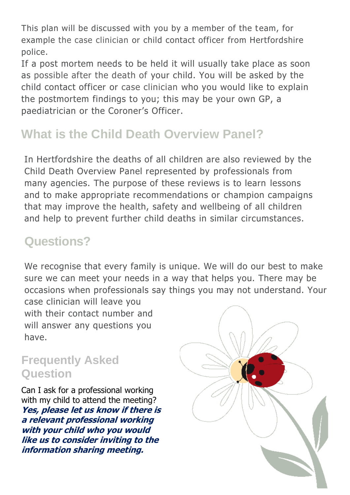This plan will be discussed with you by a member of the team, for example the case clinician or child contact officer from Hertfordshire police.

If a post mortem needs to be held it will usually take place as soon as possible after the death of your child. You will be asked by the child contact officer or case clinician who you would like to explain the postmortem findings to you; this may be your own GP, a paediatrician or the Coroner's Officer.

## **What is the Child Death Overview Panel?**

In Hertfordshire the deaths of all children are also reviewed by the Child Death Overview Panel represented by professionals from many agencies. The purpose of these reviews is to learn lessons and to make appropriate recommendations or champion campaigns that may improve the health, safety and wellbeing of all children and help to prevent further child deaths in similar circumstances.

## **Questions?**

We recognise that every family is unique. We will do our best to make sure we can meet your needs in a way that helps you. There may be occasions when professionals say things you may not understand. Your case clinician will leave you

with their contact number and will answer any questions you have.

#### **Frequently Asked Question**

Can I ask for a professional working with my child to attend the meeting? **Yes, please let us know if there is a relevant professional working with your child who you would like us to consider inviting to the information sharing meeting.**